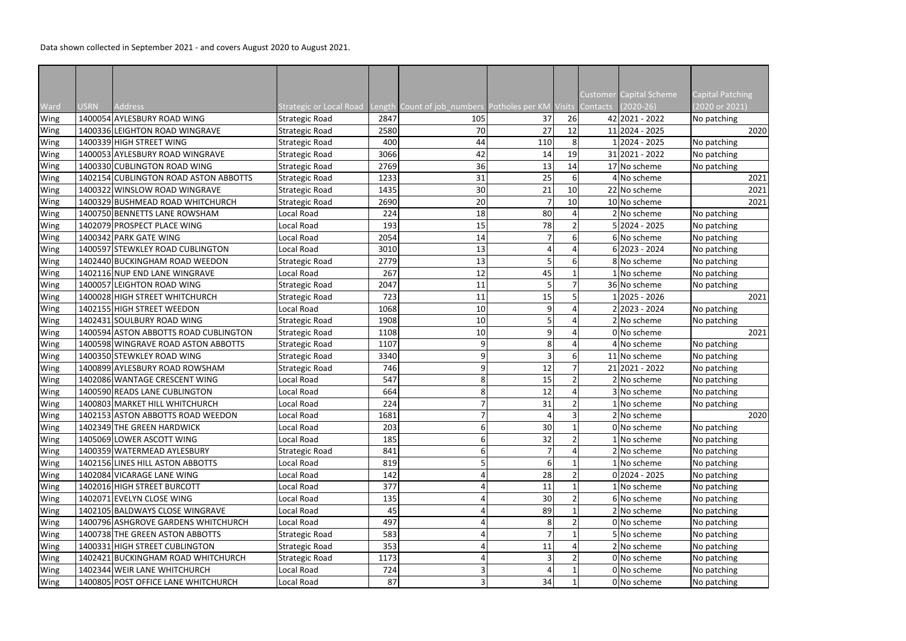Data shown collected in September 2021 - and covers August 2020 to August 2021.

|      |             |                                       |                                |      |                                                    |     |    |          | Customer Capital Scheme         | <b>Capital Patching</b> |
|------|-------------|---------------------------------------|--------------------------------|------|----------------------------------------------------|-----|----|----------|---------------------------------|-------------------------|
| Ward | <b>USRN</b> | <b>Address</b>                        | <b>Strategic or Local Road</b> |      | Length Count of job_numbers Potholes per KM Visits |     |    | Contacts | $(2020 - 26)$<br>42 2021 - 2022 | (2020 or 2021)          |
| Wing |             | 1400054 AYLESBURY ROAD WING           | <b>Strategic Road</b>          | 2847 | 105                                                | 37  | 26 |          |                                 | No patching             |
| Wing |             | 1400336 LEIGHTON ROAD WINGRAVE        | <b>Strategic Road</b>          | 2580 | 70                                                 | 27  | 12 |          | 11 2024 - 2025                  | 2020                    |
| Wing |             | 1400339 HIGH STREET WING              | <b>Strategic Road</b>          | 400  | 44                                                 | 110 | 8  |          | 1 2024 - 2025<br>31 2021 - 2022 | No patching             |
| Wing |             | 1400053 AYLESBURY ROAD WINGRAVE       | <b>Strategic Road</b>          | 3066 | 42                                                 | 14  | 19 |          |                                 | No patching             |
| Wing |             | 1400330 CUBLINGTON ROAD WING          | <b>Strategic Road</b>          | 2769 | 36                                                 | 13  | 14 |          | 17 No scheme                    | No patching             |
| Wing |             | 1402154 CUBLINGTON ROAD ASTON ABBOTTS | <b>Strategic Road</b>          | 1233 | 31                                                 | 25  | 61 |          | 4 No scheme                     | 2021                    |
| Wing |             | 1400322 WINSLOW ROAD WINGRAVE         | <b>Strategic Road</b>          | 1435 | 30                                                 | 21  | 10 |          | 22 No scheme                    | 2021                    |
| Wing |             | 1400329 BUSHMEAD ROAD WHITCHURCH      | <b>Strategic Road</b>          | 2690 | 20                                                 |     | 10 |          | 10 No scheme                    | 2021                    |
| Wing |             | 1400750 BENNETTS LANE ROWSHAM         | Local Road                     | 224  | 18                                                 | 80  |    |          | 2 No scheme                     | No patching             |
| Wing |             | 1402079 PROSPECT PLACE WING           | Local Road                     | 193  | 15                                                 | 78  |    |          | 5 2024 - 2025                   | No patching             |
| Wing |             | 1400342 PARK GATE WING                | Local Road                     | 2054 | 14                                                 |     |    |          | 6 No scheme                     | No patching             |
| Wing |             | 1400597 STEWKLEY ROAD CUBLINGTON      | Local Road                     | 3010 | 13                                                 |     |    |          | $6 2023 - 2024$                 | No patching             |
| Wing |             | 1402440 BUCKINGHAM ROAD WEEDON        | <b>Strategic Road</b>          | 2779 | 13                                                 |     |    |          | 8 No scheme                     | No patching             |
| Wing |             | 1402116 NUP END LANE WINGRAVE         | Local Road                     | 267  | 12                                                 | 45  |    |          | 1 No scheme                     | No patching             |
| Wing |             | 1400057 LEIGHTON ROAD WING            | <b>Strategic Road</b>          | 2047 | 11                                                 |     |    |          | 36 No scheme                    | No patching             |
| Wing |             | 1400028 HIGH STREET WHITCHURCH        | <b>Strategic Road</b>          | 723  | 11                                                 | 15  |    |          | 1 2025 - 2026                   | 2021                    |
| Wing |             | 1402155 HIGH STREET WEEDON            | Local Road                     | 1068 | 10                                                 | 9   |    |          | 2 2023 - 2024                   | No patching             |
| Wing |             | 1402431 SOULBURY ROAD WING            | <b>Strategic Road</b>          | 1908 | 10                                                 | 5   |    |          | 2 No scheme                     | No patching             |
| Wing |             | 1400594 ASTON ABBOTTS ROAD CUBLINGTON | <b>Strategic Road</b>          | 1108 | 10                                                 | 9   |    |          | 0 No scheme                     | 2021                    |
| Wing |             | 1400598 WINGRAVE ROAD ASTON ABBOTTS   | <b>Strategic Road</b>          | 1107 | 9                                                  | 8   |    |          | 4 No scheme                     | No patching             |
| Wing |             | 1400350 STEWKLEY ROAD WING            | <b>Strategic Road</b>          | 3340 | 9                                                  | ς   |    |          | 11 No scheme                    | No patching             |
| Wing |             | 1400899 AYLESBURY ROAD ROWSHAM        | <b>Strategic Road</b>          | 746  | 9                                                  | 12  |    |          | 21 2021 - 2022                  | No patching             |
| Wing |             | 1402086 WANTAGE CRESCENT WING         | Local Road                     | 547  | 8                                                  | 15  |    |          | 2 No scheme                     | No patching             |
| Wing |             | 1400590 READS LANE CUBLINGTON         | Local Road                     | 664  | 8                                                  | 12  |    |          | 3 No scheme                     | No patching             |
| Wing |             | 1400803 MARKET HILL WHITCHURCH        | Local Road                     | 224  |                                                    | 31  |    |          | 1 No scheme                     | No patching             |
| Wing |             | 1402153 ASTON ABBOTTS ROAD WEEDON     | Local Road                     | 1681 |                                                    | Δ   |    |          | 2 No scheme                     | 2020                    |
| Wing |             | 1402349 THE GREEN HARDWICK            | Local Road                     | 203  | 6                                                  | 30  |    |          | 0 No scheme                     | No patching             |
| Wing |             | 1405069 LOWER ASCOTT WING             | Local Road                     | 185  | 6                                                  | 32  |    |          | 1 No scheme                     | No patching             |
| Wing |             | 1400359 WATERMEAD AYLESBURY           | <b>Strategic Road</b>          | 841  | 6                                                  |     |    |          | 2 No scheme                     | No patching             |
| Wing |             | 1402156 LINES HILL ASTON ABBOTTS      | Local Road                     | 819  |                                                    | 6   |    |          | 1 No scheme                     | No patching             |
| Wing |             | 1402084 VICARAGE LANE WING            | Local Road                     | 142  |                                                    | 28  |    |          | $0 2024 - 2025$                 | No patching             |
| Wing |             | 1402016 HIGH STREET BURCOTT           | Local Road                     | 377  |                                                    | 11  |    |          | 1 No scheme                     | No patching             |
| Wing |             | 1402071 EVELYN CLOSE WING             | Local Road                     | 135  |                                                    | 30  |    |          | 6 No scheme                     | No patching             |
| Wing |             | 1402105 BALDWAYS CLOSE WINGRAVE       | Local Road                     | 45   |                                                    | 89  |    |          | 2 No scheme                     | No patching             |
| Wing |             | 1400796 ASHGROVE GARDENS WHITCHURCH   | Local Road                     | 497  |                                                    | 8   |    |          | 0 No scheme                     | No patching             |
| Wing |             | 1400738 THE GREEN ASTON ABBOTTS       | <b>Strategic Road</b>          | 583  |                                                    |     |    |          | 5 No scheme                     | No patching             |
| Wing |             | 1400331 HIGH STREET CUBLINGTON        | <b>Strategic Road</b>          | 353  |                                                    | 11  |    |          | 2 No scheme                     | No patching             |
| Wing |             | 1402421 BUCKINGHAM ROAD WHITCHURCH    | <b>Strategic Road</b>          | 1173 |                                                    |     |    |          | 0 No scheme                     | No patching             |
| Wing |             | 1402344 WEIR LANE WHITCHURCH          | Local Road                     | 724  |                                                    |     |    |          | 0 No scheme                     | No patching             |
|      |             | 1400805 POST OFFICE LANE WHITCHURCH   | Local Road                     | 87   | 3                                                  | 34  |    |          | 0 No scheme                     | No patching             |
| Wing |             |                                       |                                |      |                                                    |     |    |          |                                 |                         |